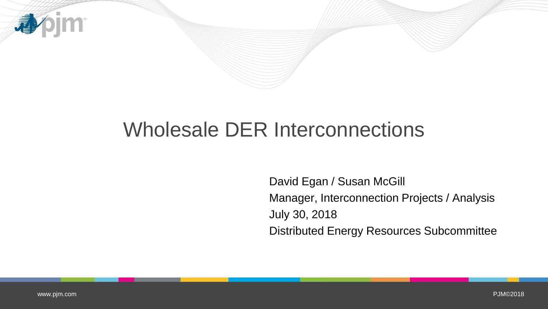

# Wholesale DER Interconnections

David Egan / Susan McGill Manager, Interconnection Projects / Analysis July 30, 2018 Distributed Energy Resources Subcommittee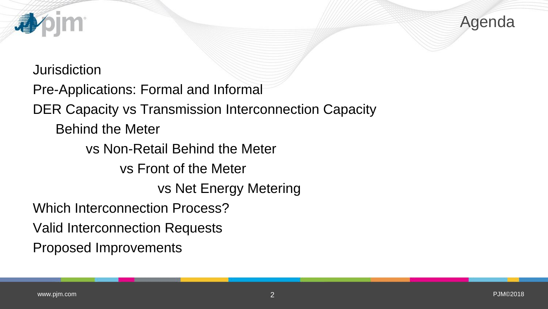

**Jurisdiction** Pre-Applications: Formal and Informal DER Capacity vs Transmission Interconnection Capacity Behind the Meter vs Non-Retail Behind the Meter vs Front of the Meter vs Net Energy Metering Which Interconnection Process? Valid Interconnection Requests Proposed Improvements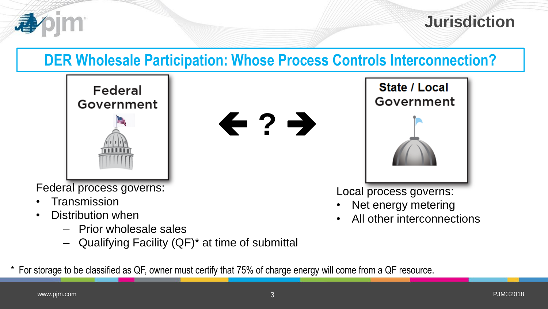

**Jurisdiction**

## **DER Wholesale Participation: Whose Process Controls Interconnection?**

 $\leftarrow$  ?  $\rightarrow$ 



Federal process governs:

- **Transmission**
- Distribution when
	- Prior wholesale sales
	- Qualifying Facility (QF)\* at time of submittal

\* For storage to be classified as QF, owner must certify that 75% of charge energy will come from a QF resource.



Local process governs:

- Net energy metering
- All other interconnections

[www.pjm.com](http://www.pjm.com/)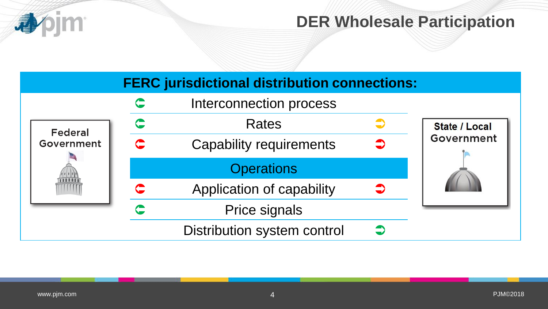

### **DER Wholesale Participation**

|                              |   | <b>FERC</b> jurisdictional distribution connections: |                      |
|------------------------------|---|------------------------------------------------------|----------------------|
|                              |   | Interconnection process                              |                      |
| <b>Federal</b><br>Government |   | <b>Rates</b>                                         | <b>State / Local</b> |
|                              | C | <b>Capability requirements</b>                       | Government           |
|                              |   | <b>Operations</b>                                    |                      |
|                              |   | Application of capability                            |                      |
|                              |   | <b>Price signals</b>                                 |                      |
|                              |   | Distribution system control                          |                      |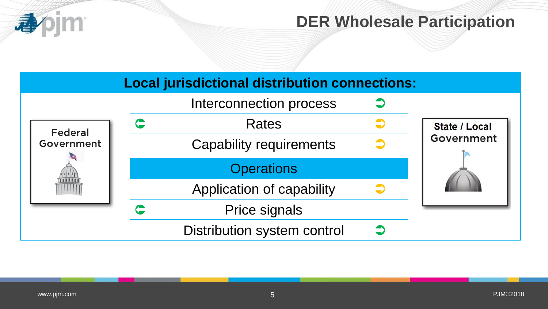

### **DER Wholesale Participation**

|                | <b>Local jurisdictional distribution connections:</b> |                      |
|----------------|-------------------------------------------------------|----------------------|
|                | Interconnection process                               |                      |
| <b>Federal</b> | <b>Rates</b>                                          | <b>State / Local</b> |
| Government     | <b>Capability requirements</b>                        | Government           |
|                | <b>Operations</b>                                     |                      |
|                | Application of capability                             |                      |
|                | <b>Price signals</b>                                  |                      |
|                | <b>Distribution system control</b>                    |                      |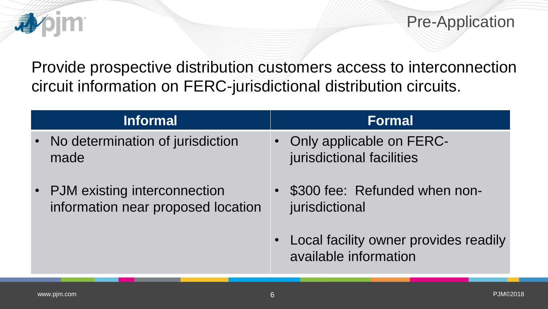Pre-Application

Provide prospective distribution customers access to interconnection circuit information on FERC-jurisdictional distribution circuits.

| <b>Informal</b>                                                      | <b>Formal</b>                                                  |
|----------------------------------------------------------------------|----------------------------------------------------------------|
| No determination of jurisdiction<br>$\bullet$ .<br>made              | • Only applicable on FERC-<br>jurisdictional facilities        |
| • PJM existing interconnection<br>information near proposed location | \$300 fee: Refunded when non-<br>jurisdictional                |
|                                                                      | Local facility owner provides readily<br>available information |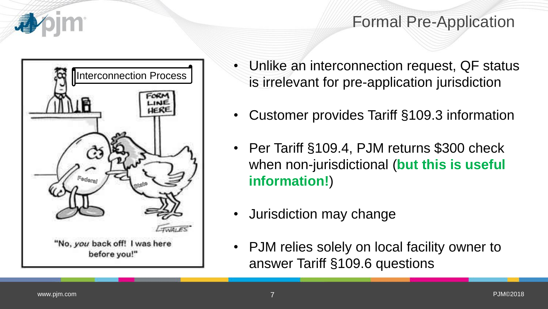

### Formal Pre-Application



- Unlike an interconnection request, QF status is irrelevant for pre-application jurisdiction
- Customer provides Tariff §109.3 information
- Per Tariff §109.4, PJM returns \$300 check when non-jurisdictional (**but this is useful information!**)
- Jurisdiction may change
- PJM relies solely on local facility owner to answer Tariff §109.6 questions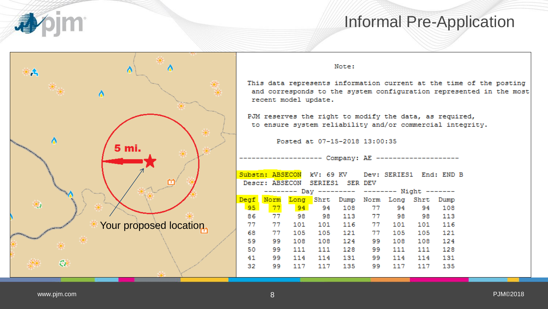

#### Informal Pre-Application



#### Note:

This data represents information current at the time of the posting and corresponds to the system configuration represented in the most recent model update.

PJM reserves the right to modify the data, as required, to ensure system reliability and/or commercial integrity.

Posted at 07-15-2018 13:00:35

------------- Company: AE -------------------

|                 |      |                                |     |                |    | Substn: ABSECON kV: 69 KV Dev: SERIES1 End: END B |     |     |  |
|-----------------|------|--------------------------------|-----|----------------|----|---------------------------------------------------|-----|-----|--|
|                 |      | Descr: ABSECON SERIES1 SER DEV |     |                |    |                                                   |     |     |  |
|                 |      |                                |     |                |    | -------- Day --------- -------- Night -------     |     |     |  |
|                 |      |                                |     |                |    | Degf Norm Long Shrt Dump Norm Long Shrt Dump      |     |     |  |
| 95 <sub>1</sub> | 77   | 94 94 108 77                   |     |                |    | 94                                                | 94  | 108 |  |
| 86              | 77   | - 98                           |     |                |    | 98 113 77 98 98                                   |     | 113 |  |
| 77              | - 77 |                                |     | 101 101 116 77 |    | 101                                               | 101 | 116 |  |
| 68              | 77   | 105                            | 105 | 121            | 77 | 105                                               | 105 | 121 |  |
| 59              | 99   | 108                            | 108 | 124            | 99 | 108                                               | 108 | 124 |  |
| 50              | 99   | 111                            | 111 | 128            | 99 | 111                                               | 111 | 128 |  |
| 41              | 99   | 114                            | 114 | 131            | 99 | 114                                               | 114 | 131 |  |
| 32              | 99   | 117                            | 117 | 135            | 99 | 117                                               | 117 | 135 |  |
|                 |      |                                |     |                |    |                                                   |     |     |  |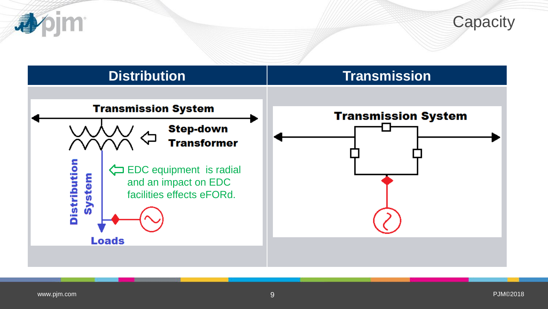



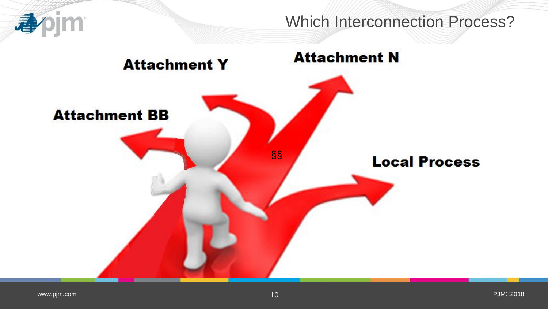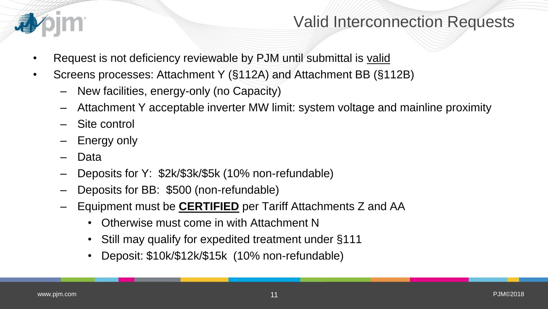

#### Valid Interconnection Requests

- Request is not deficiency reviewable by PJM until submittal is valid
- Screens processes: Attachment Y (§112A) and Attachment BB (§112B)
	- New facilities, energy-only (no Capacity)
	- Attachment Y acceptable inverter MW limit: system voltage and mainline proximity
	- Site control
	- **Energy only**
	- Data
	- Deposits for Y: \$2k/\$3k/\$5k (10% non-refundable)
	- Deposits for BB: \$500 (non-refundable)
	- Equipment must be **CERTIFIED** per Tariff Attachments Z and AA
		- Otherwise must come in with Attachment N
		- Still may qualify for expedited treatment under §111
		- Deposit: \$10k/\$12k/\$15k (10% non-refundable)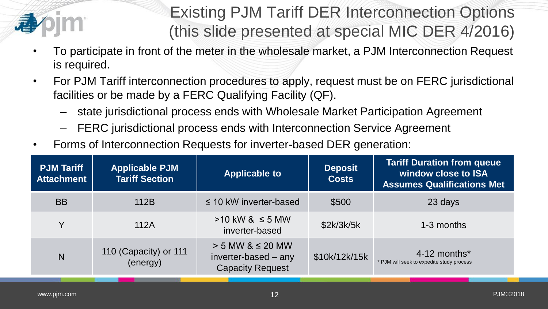

# Existing PJM Tariff DER Interconnection Options (this slide presented at special MIC DER 4/2016)

- To participate in front of the meter in the wholesale market, a PJM Interconnection Request is required.
- For PJM Tariff interconnection procedures to apply, request must be on FERC jurisdictional facilities or be made by a FERC Qualifying Facility (QF).
	- state jurisdictional process ends with Wholesale Market Participation Agreement
	- FERC jurisdictional process ends with Interconnection Service Agreement
- Forms of Interconnection Requests for inverter-based DER generation:

| <b>PJM Tariff</b><br><b>Attachment</b> | <b>Applicable PJM</b><br><b>Tariff Section</b> | <b>Applicable to</b>                                                       | <b>Deposit</b><br><b>Costs</b> | <b>Tariff Duration from queue</b><br>window close to ISA<br><b>Assumes Qualifications Met</b> |
|----------------------------------------|------------------------------------------------|----------------------------------------------------------------------------|--------------------------------|-----------------------------------------------------------------------------------------------|
| <b>BB</b>                              | 112B                                           | $\leq$ 10 kW inverter-based                                                | \$500                          | 23 days                                                                                       |
| $\checkmark$                           | 112A                                           | $>10$ kW & $\leq$ 5 MW<br>inverter-based                                   | \$2k/3k/5k                     | 1-3 months                                                                                    |
| N                                      | 110 (Capacity) or 111<br>(energy)              | $> 5$ MW & $\leq 20$ MW<br>inverter-based – any<br><b>Capacity Request</b> | \$10k/12k/15k                  | $4-12$ months <sup>*</sup><br>* PJM will seek to expedite study process                       |